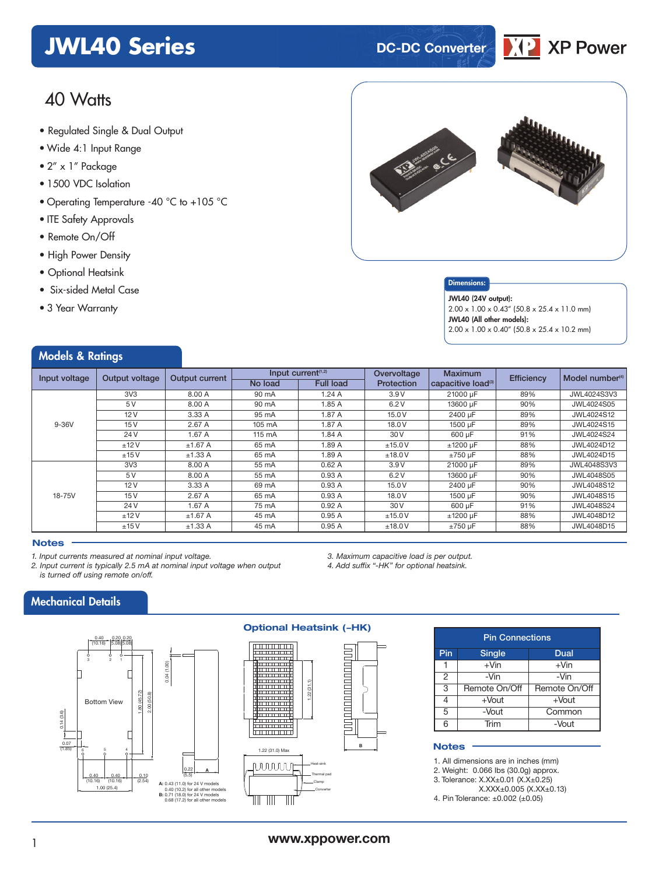## **JWL40 Series DC-DC** Converter

## 40 Watts

- **xxx Series** Regulated Single & Dual Output
- Wide 4:1 Input Range
- 2" x 1" Package
- 1500 VDC Isolation
- Operating Temperature -40 °C to +105 °C
- ITE Safety Approvals
- Remote On/Off
- High Power Density
- Optional Heatsink
- Six-sided Metal Case
- 3 Year Warranty

Models & Ratings



DK P

**XP Power** 

#### Dimensions:

JWL40 (24V output): 2.00 x 1.00 x 0.43" (50.8 x 25.4 x 11.0 mm) JWL40 (All other models):  $2.00 \times 1.00 \times 0.40''$  (50.8  $\times$  25.4  $\times$  10.2 mm)

|                                    | Output voltage | <b>Output current</b> | Input current <sup>(1,2)</sup> |                  | Overvoltage | <b>Maximum</b>                 | <b>Efficiency</b> | Model number <sup>(4)</sup> |
|------------------------------------|----------------|-----------------------|--------------------------------|------------------|-------------|--------------------------------|-------------------|-----------------------------|
|                                    |                |                       | No load                        | <b>Full load</b> | Protection  | capacitive load <sup>(3)</sup> |                   |                             |
|                                    | 3V3            | 8.00 A                | 90 mA                          | 1.24A            | 3.9V        | 21000 uF                       | 89%               | JWL4024S3V3                 |
| Input voltage<br>$9-36V$<br>18-75V | 5 V            | 8.00 A                | 90 mA                          | 1.85A            | 6.2V        | 13600 µF                       | 90%               | JWL4024S05                  |
|                                    | 12V            | 3.33 A                | 95 mA                          | 1.87A            | 15.0 V      | 2400 µF                        | 89%               | JWL4024S12                  |
|                                    | 15V            | 2.67 A                | 105 mA                         | 1.87 A           | 18.0 V      | 1500 µF                        | 89%               | JWL4024S15                  |
|                                    | 24 V           | 1.67A                 | 115 mA                         | 1.84 A           | 30 V        | 600 uF                         | 91%               | JWL4024S24                  |
|                                    | ±12V           | $±1.67$ A             | 65 mA                          | 1.89A            | ±15.0V      | $±1200 \mu F$                  | 88%               | JWL4024D12                  |
|                                    | ±15V           | ±1.33 A               | 65 mA                          | 1.89A            | ±18.0V      | $±750 \mu F$                   | 88%               | JWL4024D15                  |
|                                    | 3V3            | 8.00 A                | 55 mA                          | 0.62A            | 3.9V        | 21000 uF                       | 89%               | JWL4048S3V3                 |
|                                    | 5V             | 8.00 A                | 55 mA                          | 0.93A            | 6.2V        | 13600 uF                       | 90%               | JWL4048S05                  |
|                                    | 12V            | 3.33 A                | 69 mA                          | 0.93A            | 15.0 V      | 2400 µF                        | 90%               | <b>JWL4048S12</b>           |
|                                    | 15 V           | 2.67 A                | 65 mA                          | 0.93A            | 18.0 V      | 1500 µF                        | 90%               | JWL4048S15                  |
|                                    | 24 V           | 1.67A                 | 75 mA                          | 0.92A            | 30 V        | 600 µF                         | 91%               | <b>JWL4048S24</b>           |
|                                    | ±12V           | $±1.67$ A             | 45 mA                          | 0.95A            | ±15.0V      | $±1200 \mu F$                  | 88%               | JWL4048D12                  |
|                                    | ±15V           | ±1.33 A               | 45 mA                          | 0.95A            | ±18.0V      | $±750 \mu F$                   | 88%               | JWL4048D15                  |

#### **Notes**

*1. Input currents measured at nominal input voltage.*

*2. Input current is typically 2.5 mA at nominal input voltage when output is turned off using remote on/off.*

> 0.22 (5.5)

**A**

*3. Maximum capacitive load is per output.*

*4. Add suffix "-HK" for optional heatsink.*

## Mechanical Details



#### **Optional Heatsink (-HK)**



### Pin Connections Pin Single Dual  $1 \mid +\text{V}$ in  $+ \text{V}$ in 2 -Vin -Vin 3 Remote On/Off Remote On/Off 4 +Vout +Vout 5 -Vout Common 6 Trim -Vout

#### **Notes**

1. All dimensions are in inches (mm)

2. Weight: 0.066 lbs (30.0g) approx.

3. Tolerance: X.XX±0.01 (X.X±0.25)

X.XXX±0.005 (X.XX±0.13)

4. Pin Tolerance: ±0.002 (±0.05)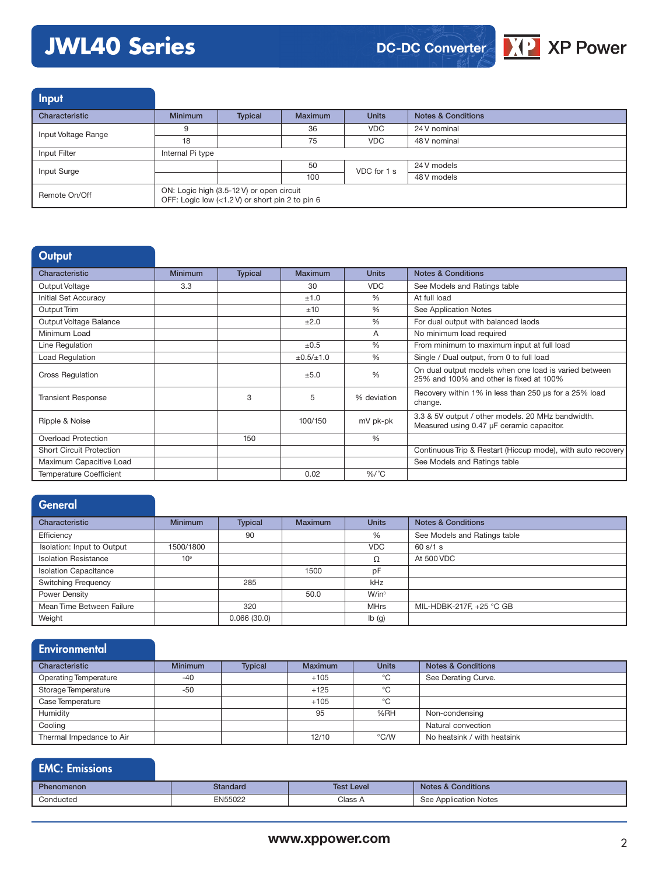# **JWL40 Series**





Input Characteristic **Minimum Typical Maximum Units Notes & Conditions** Input Voltage Range **9** 36 36 VDC 24 V nominal<br>
18 75 VDC 48 V nominal 48 V nominal Input Filter **Internal Pi** type Input Surge 50 VDC for 1 s  $\frac{24 \text{ V models}}{1011 \text{ V}}$ 48 V models Remote On/Off ON: Logic high (3.5-12 V) or open circuit OFF: Logic low (<1.2 V) or short pin 2 to pin 6

| Output                          |                |                |                     |               |                                                                                                  |
|---------------------------------|----------------|----------------|---------------------|---------------|--------------------------------------------------------------------------------------------------|
| Characteristic                  | <b>Minimum</b> | <b>Typical</b> | <b>Maximum</b>      | <b>Units</b>  | <b>Notes &amp; Conditions</b>                                                                    |
| Output Voltage                  | 3.3            |                | 30                  | <b>VDC</b>    | See Models and Ratings table                                                                     |
| Initial Set Accuracy            |                |                | ±1.0                | $\%$          | At full load                                                                                     |
| Output Trim                     |                |                | ±10                 | $\%$          | See Application Notes                                                                            |
| Output Voltage Balance          |                |                | ±2.0                | $\frac{0}{0}$ | For dual output with balanced laods                                                              |
| Minimum Load                    |                |                |                     | A             | No minimum load required                                                                         |
| Line Regulation                 |                |                | ±0.5                | $\%$          | From minimum to maximum input at full load                                                       |
| Load Regulation                 |                |                | $\pm 0.5 / \pm 1.0$ | $\%$          | Single / Dual output, from 0 to full load                                                        |
| <b>Cross Regulation</b>         |                |                | ±5.0                | $\frac{0}{0}$ | On dual output models when one load is varied between<br>25% and 100% and other is fixed at 100% |
| <b>Transient Response</b>       |                | 3              | 5                   | % deviation   | Recovery within 1% in less than 250 us for a 25% load<br>change.                                 |
| Ripple & Noise                  |                |                | 100/150             | mV pk-pk      | 3.3 & 5V output / other models. 20 MHz bandwidth.<br>Measured using 0.47 µF ceramic capacitor.   |
| <b>Overload Protection</b>      |                | 150            |                     | %             |                                                                                                  |
| <b>Short Circuit Protection</b> |                |                |                     |               | Continuous Trip & Restart (Hiccup mode), with auto recovery                                      |
| Maximum Capacitive Load         |                |                |                     |               | See Models and Ratings table                                                                     |
| <b>Temperature Coefficient</b>  |                |                | 0.02                | $%$ /°C       |                                                                                                  |

| General                      |                 |                |                |              |                               |
|------------------------------|-----------------|----------------|----------------|--------------|-------------------------------|
| Characteristic               | <b>Minimum</b>  | <b>Typical</b> | <b>Maximum</b> | <b>Units</b> | <b>Notes &amp; Conditions</b> |
| Efficiency                   |                 | 90             |                | %            | See Models and Ratings table  |
| Isolation: Input to Output   | 1500/1800       |                |                | <b>VDC</b>   | 60 s/1 s                      |
| <b>Isolation Resistance</b>  | 10 <sup>9</sup> |                |                | Ω            | At 500 VDC                    |
| <b>Isolation Capacitance</b> |                 |                | 1500           | pF           |                               |
| <b>Switching Frequency</b>   |                 | 285            |                | kHz          |                               |
| Power Density                |                 |                | 50.0           | $W/in^3$     |                               |
| Mean Time Between Failure    |                 | 320            |                | <b>MHrs</b>  | MIL-HDBK-217F, +25 °C GB      |
| Weight                       |                 | 0.066(30.0)    |                | Ib(g)        |                               |

| Environmental                |                |         |                |               |                               |
|------------------------------|----------------|---------|----------------|---------------|-------------------------------|
| Characteristic               | <b>Minimum</b> | Typical | <b>Maximum</b> | <b>Units</b>  | <b>Notes &amp; Conditions</b> |
| <b>Operating Temperature</b> | $-40$          |         | $+105$         | °C            | See Derating Curve.           |
| Storage Temperature          | $-50$          |         | $+125$         | °C            |                               |
| Case Temperature             |                |         | $+105$         | °C            |                               |
| Humidity                     |                |         | 95             | %RH           | Non-condensing                |
| Cooling                      |                |         |                |               | Natural convection            |
| Thermal Impedance to Air     |                |         | 12/10          | $\degree$ C/W | No heatsink / with heatsink   |

| <b>EMC: Emissions</b> |          |                   |                               |
|-----------------------|----------|-------------------|-------------------------------|
| <b>Phenomenon</b>     | Standard | <b>Test Level</b> | <b>Notes &amp; Conditions</b> |
| Conducted             | EN55022  | Class A           | See Application Notes         |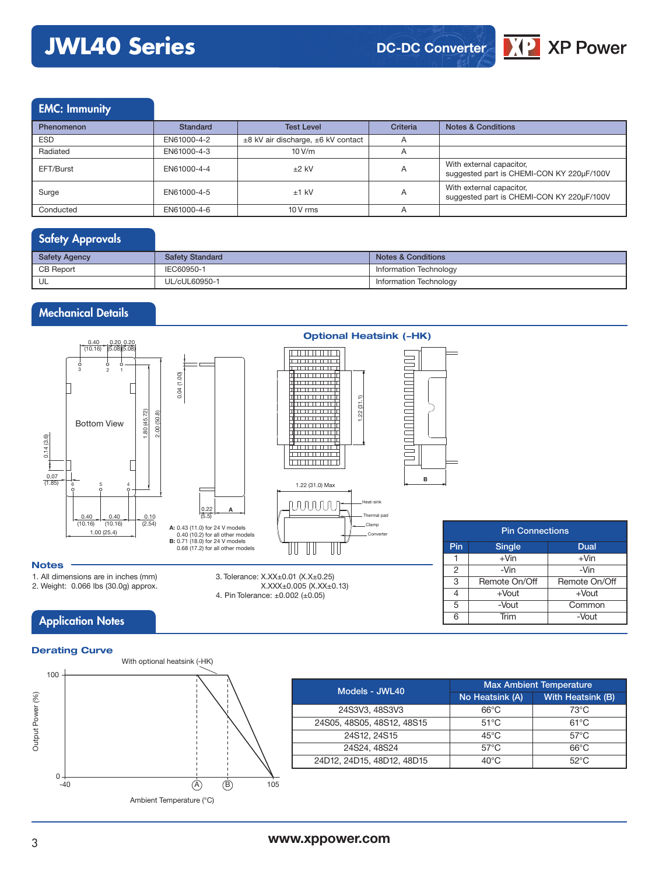## **JWL40 Series**



## EMC: Immunity

| <b>Phenomenon</b> | Standard    | <b>Test Level</b>                            | Criteria | <b>Notes &amp; Conditions</b>                                         |
|-------------------|-------------|----------------------------------------------|----------|-----------------------------------------------------------------------|
| <b>ESD</b>        | EN61000-4-2 | $\pm$ 8 kV air discharge, $\pm$ 6 kV contact | A        |                                                                       |
| Radiated          | EN61000-4-3 | 10 V/m                                       | A        |                                                                       |
| EFT/Burst         | EN61000-4-4 | $±2$ kV                                      | A        | With external capacitor,<br>suggested part is CHEMI-CON KY 220µF/100V |
| Surge             | EN61000-4-5 | $±1$ kV                                      | A        | With external capacitor,<br>suggested part is CHEMI-CON KY 220µF/100V |
| Conducted         | EN61000-4-6 | $10V$ rms                                    | A        |                                                                       |

## Safety Approvals

| <b>Safety Agency</b> | <b>Safety Standard</b> | <b>Notes &amp; Conditions</b> |
|----------------------|------------------------|-------------------------------|
| <b>CB Report</b>     | IEC60950-1             | Information Technology        |
| UL                   | UL/cUL60950-1          | Information Technology        |

## Mechanical Details





|     | <b>Pin Connections</b> |               |  |  |  |  |  |  |  |
|-----|------------------------|---------------|--|--|--|--|--|--|--|
| Pin | <b>Single</b>          | Dual          |  |  |  |  |  |  |  |
|     | $+V$ in                | $+V$ in       |  |  |  |  |  |  |  |
| 2   | -Vin                   | -Vin          |  |  |  |  |  |  |  |
| 3   | Remote On/Off          | Remote On/Off |  |  |  |  |  |  |  |
| 4   | $+$ Vout               | $+$ Vout      |  |  |  |  |  |  |  |
| 5   | -Vout                  | Common        |  |  |  |  |  |  |  |
| 6   | Trim                   | -Vout         |  |  |  |  |  |  |  |

### **Notes**

1. All dimensions are in inches (mm)

2. Weight: 0.066 lbs (30.0g) approx.

## **Application Notes**



**A**

3. Tolerance: X.XX±0.01 (X.X±0.25)

4. Pin Tolerance: ±0.002 (±0.05)

X.XXX±0.005 (X.XX±0.13)

| Models - JWL40             | <b>Max Ambient Temperature</b> |                   |  |  |  |
|----------------------------|--------------------------------|-------------------|--|--|--|
|                            | No Heatsink (A)                | With Heatsink (B) |  |  |  |
| 24S3V3, 48S3V3             | $66^{\circ}$ C                 | $73^{\circ}$ C    |  |  |  |
| 24S05, 48S05, 48S12, 48S15 | $51^{\circ}$ C                 | $61^{\circ}$ C    |  |  |  |
| 24S12, 24S15               | $45^{\circ}$ C                 | $57^{\circ}$ C    |  |  |  |
| 24S24, 48S24               | $57^{\circ}$ C                 | $66^{\circ}$ C    |  |  |  |
| 24D12, 24D15, 48D12, 48D15 | $40^{\circ}$ C                 | $52^{\circ}$ C    |  |  |  |

## **Optional Heatsink (-HK)**

**B**

<u>IN ANDROITION AND T</u>

### **www.xppower.com**